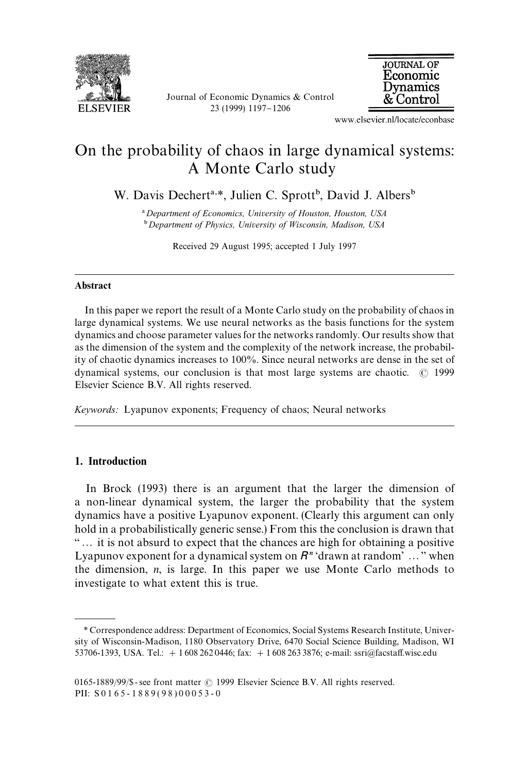

Journal of Economic Dynamics & Control 23 (1999) 1197-1206



www.elsevier.nl/locate/econbase

# On the probability of chaos in large dynamical systems: A Monte Carlo study

W. Davis Dechert<sup>a,\*</sup>, Julien C. Sprott<sup>b</sup>, David J. Albers<sup>b</sup>

! *Department of Economics, University of Houston, Houston, USA* " *Department of Physics, University of Wisconsin, Madison, USA*

Received 29 August 1995; accepted 1 July 1997

#### Abstract

In this paper we report the result of a Monte Carlo study on the probability of chaos in large dynamical systems. We use neural networks as the basis functions for the system dynamics and choose parameter values for the networks randomly. Our results show that as the dimension of the system and the complexity of the network increase, the probability of chaotic dynamics increases to 100%. Since neural networks are dense in the set of dynamical systems, our conclusion is that most large systems are chaotic.  $\circ$  1999 Elsevier Science B.V. All rights reserved.

*Keywords:* Lyapunov exponents; Frequency of chaos; Neural networks

## 1. Introduction

In Brock (1993) there is an argument that the larger the dimension of a non-linear dynamical system, the larger the probability that the system dynamics have a positive Lyapunov exponent. (Clearly this argument can only hold in a probabilistically generic sense.) From this the conclusion is drawn that `2 it is not absurd to expect that the chances are high for obtaining a positive Lyapunov exponent for a dynamical system on  $R<sup>n</sup>$  'drawn at random'..." when the dimension, *n*, is large. In this paper we use Monte Carlo methods to investigate to what extent this is true.

*<sup>\*</sup>* Correspondence address: Department of Economics, Social Systems Research Institute, University of Wisconsin-Madison, 1180 Observatory Drive, 6470 Social Science Building, Madison, WI 53706-1393, USA. Tel.:  $+16082620446$ ; fax:  $+16082633876$ ; e-mail: ssri@facstaff.wisc.edu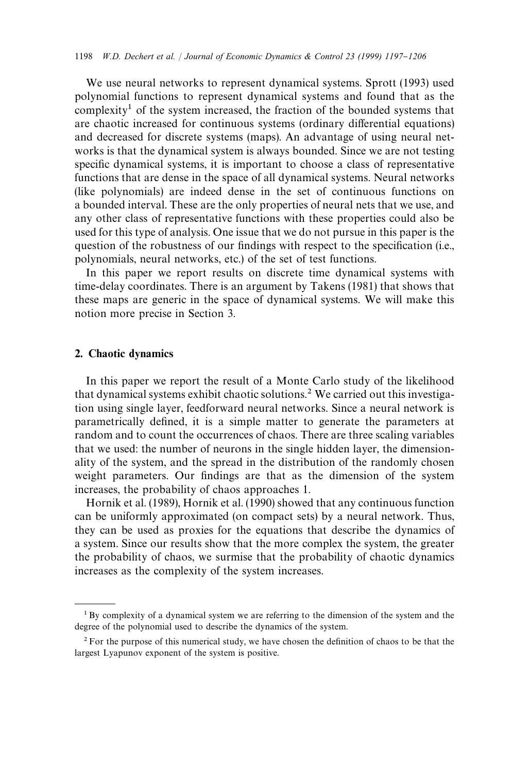We use neural networks to represent dynamical systems. Sprott (1993) used polynomial functions to represent dynamical systems and found that as the complexity<sup>1</sup> of the system increased, the fraction of the bounded systems that are chaotic increased for continuous systems (ordinary differential equations) and decreased for discrete systems (maps). An advantage of using neural networks is that the dynamical system is always bounded. Since we are not testing specific dynamical systems, it is important to choose a class of representative functions that are dense in the space of all dynamical systems. Neural networks (like polynomials) are indeed dense in the set of continuous functions on a bounded interval. These are the only properties of neural nets that we use, and any other class of representative functions with these properties could also be used for this type of analysis. One issue that we do not pursue in this paper is the question of the robustness of our findings with respect to the specification (i.e., polynomials, neural networks, etc.) of the set of test functions.

In this paper we report results on discrete time dynamical systems with time-delay coordinates. There is an argument by Takens (1981) that shows that these maps are generic in the space of dynamical systems. We will make this notion more precise in Section 3.

#### 2. Chaotic dynamics

In this paper we report the result of a Monte Carlo study of the likelihood that dynamical systems exhibit chaotic solutions.2 We carried out this investigation using single layer, feedforward neural networks. Since a neural network is parametrically defined, it is a simple matter to generate the parameters at random and to count the occurrences of chaos. There are three scaling variables that we used: the number of neurons in the single hidden layer, the dimensionality of the system, and the spread in the distribution of the randomly chosen weight parameters. Our findings are that as the dimension of the system increases, the probability of chaos approaches 1.

Hornik et al. (1989), Hornik et al. (1990) showed that any continuous function can be uniformly approximated (on compact sets) by a neural network. Thus, they can be used as proxies for the equations that describe the dynamics of a system. Since our results show that the more complex the system, the greater the probability of chaos, we surmise that the probability of chaotic dynamics increases as the complexity of the system increases.

<sup>&</sup>lt;sup>1</sup> By complexity of a dynamical system we are referring to the dimension of the system and the degree of the polynomial used to describe the dynamics of the system.

 $2$  For the purpose of this numerical study, we have chosen the definition of chaos to be that the largest Lyapunov exponent of the system is positive.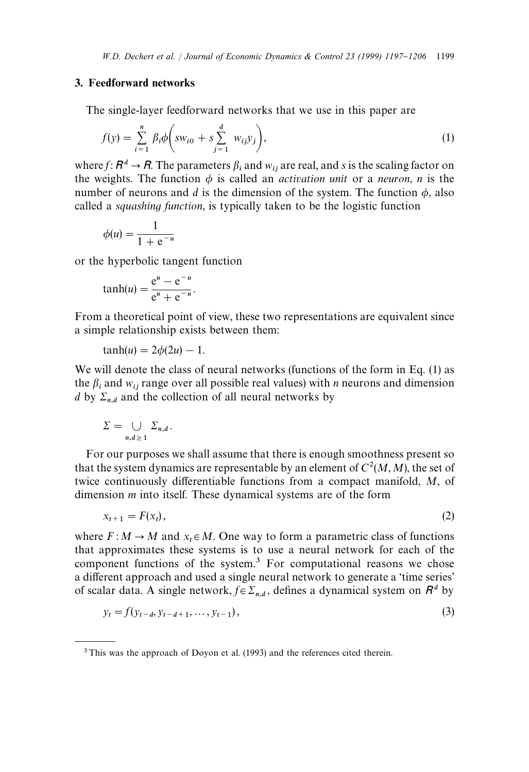#### 3. Feedforward networks

The single-layer feedforward networks that we use in this paper are

$$
f(y) = \sum_{i=1}^{n} \beta_i \phi \bigg( s w_{i0} + s \sum_{j=1}^{d} w_{ij} y_j \bigg), \tag{1}
$$

where *f* :  $R^d \rightarrow R$ . The parameters  $\beta_i$  and  $w_{ij}$  are real, and *s* is the scaling factor on the weights. The function  $\phi$  is called an *activation unit* or a *neuron*, *n* is the number of neurons and *d* is the dimension of the system. The function  $\phi$ , also called a *squashing function*, is typically taken to be the logistic function

$$
\phi(u) = \frac{1}{1 + e^{-u}}
$$

or the hyperbolic tangent function

$$
\tanh(u) = \frac{e^u - e^{-u}}{e^u + e^{-u}}.
$$

From a theoretical point of view, these two representations are equivalent since a simple relationship exists between them:

$$
\tanh(u) = 2\phi(2u) - 1.
$$

We will denote the class of neural networks (functions of the form in Eq. (1) as the  $\beta_i$  and  $w_{ij}$  range over all possible real values) with *n* neurons and dimension *d* by  $\Sigma_{n,d}$  and the collection of all neural networks by

$$
\Sigma = \bigcup_{n,d \,\geq\, 1} \Sigma_{n,d} \, .
$$

For our purposes we shall assume that there is enough smoothness present so that the system dynamics are representable by an element of  $C^2(M, M)$ , the set of twice continuously differentiable functions from a compact manifold, M, of dimension *m* into itself. These dynamical systems are of the form

$$
x_{t+1} = F(x_t), \tag{2}
$$

where  $F: M \to M$  and  $x_t \in M$ . One way to form a parametric class of functions that approximates these systems is to use a neural network for each of the component functions of the system.<sup>3</sup> For computational reasons we chose a different approach and used a single neural network to generate a 'time series' of scalar data. A single network,  $f \in \Sigma_{n,d}$ , defines a dynamical system on  $R^d$  by

$$
y_t = f(y_{t-d}, y_{t-d+1}, \dots, y_{t-1}),
$$
\n(3)

<sup>&</sup>lt;sup>3</sup>This was the approach of Doyon et al. (1993) and the references cited therein.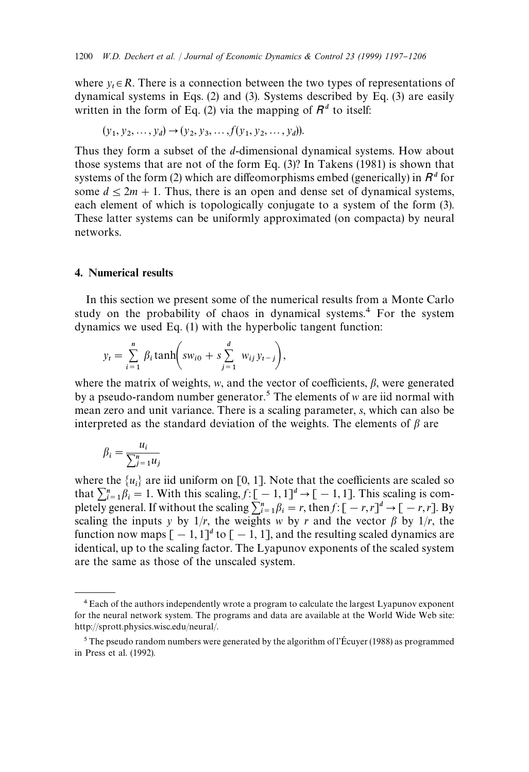where  $y_t \in R$ . There is a connection between the two types of representations of dynamical systems in Eqs. (2) and (3). Systems described by Eq. (3) are easily written in the form of Eq. (2) via the mapping of  $R<sup>d</sup>$  to itself:

$$
(y_1, y_2, ..., y_d) \rightarrow (y_2, y_3, ..., f(y_1, y_2, ..., y_d)).
$$

Thus they form a subset of the *d*-dimensional dynamical systems. How about those systems that are not of the form Eq. (3)? In Takens (1981) is shown that systems of the form (2) which are diffeomorphisms embed (generically) in  $R<sup>d</sup>$  for some  $d \leq 2m + 1$ . Thus, there is an open and dense set of dynamical systems, each element of which is topologically conjugate to a system of the form (3). These latter systems can be uniformly approximated (on compacta) by neural networks.

#### 4. Numerical results

In this section we present some of the numerical results from a Monte Carlo study on the probability of chaos in dynamical systems.<sup>4</sup> For the system dynamics we used Eq. (1) with the hyperbolic tangent function:

$$
y_t = \sum_{i=1}^n \beta_i \tanh\left(sw_{i0} + s\sum_{j=1}^d w_{ij}y_{t-j}\right),
$$

where the matrix of weights,  $w$ , and the vector of coefficients,  $\beta$ , were generated by a pseudo-random number generator.5 The elements of *w* are iid normal with mean zero and unit variance. There is a scaling parameter, *s*, which can also be interpreted as the standard deviation of the weights. The elements of  $\beta$  are

$$
\beta_i = \frac{u_i}{\sum_{j=1}^n u_j}
$$

where the  $\{u_i\}$  are iid uniform on [0, 1]. Note that the coefficients are scaled so that  $\sum_{i=1}^{n} \beta_i = 1$ . With this scaling,  $f: [-1, 1]^d \to [-1, 1]$ . This scaling is completely general. If without the scaling  $\sum_{i=1}^{n} \beta_i = r$ , then  $f: [-r, r]^d \to [-r, r]$ . By scaling the inputs *y* by  $1/r$ , the weights *w* by *r* and the vector  $\beta$  by  $1/r$ , the function now maps  $[-1, 1]^d$  to  $[-1, 1]$ , and the resulting scaled dynamics are identical, up to the scaling factor. The Lyapunov exponents of the scaled system are the same as those of the unscaled system.

<sup>4</sup>Each of the authors independently wrote a program to calculate the largest Lyapunov exponent for the neural network system. The programs and data are available at the World Wide Web site: http://sprott.physics.wisc.edu/neural/.

 $5$  The pseudo random numbers were generated by the algorithm of l'Écuyer (1988) as programmed in Press et al. (1992).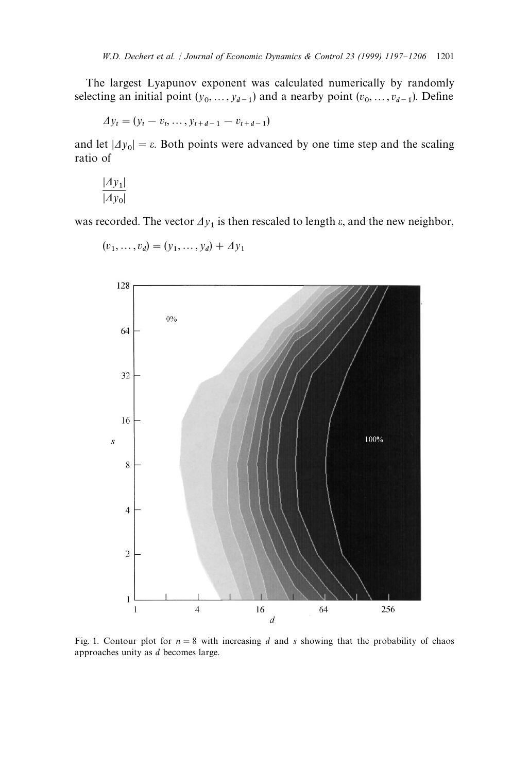The largest Lyapunov exponent was calculated numerically by randomly selecting an initial point  $(y_0, ..., y_{d-1})$  and a nearby point  $(v_0, ..., v_{d-1})$ . Define

$$
\Delta y_t = (y_t - v_t, \ldots, y_{t+d-1} - v_{t+d-1})
$$

and let  $|\Delta y_0| = \varepsilon$ . Both points were advanced by one time step and the scaling ratio of

$$
\frac{|dy_1|}{|dy_0|}
$$

was recorded. The vector  $\Delta y_1$  is then rescaled to length  $\varepsilon$ , and the new neighbor,



$$
(v_1, ..., v_d) = (y_1, ..., y_d) + \Delta y_1
$$

Fig. 1. Contour plot for  $n = 8$  with increasing *d* and *s* showing that the probability of chaos approaches unity as *d* becomes large.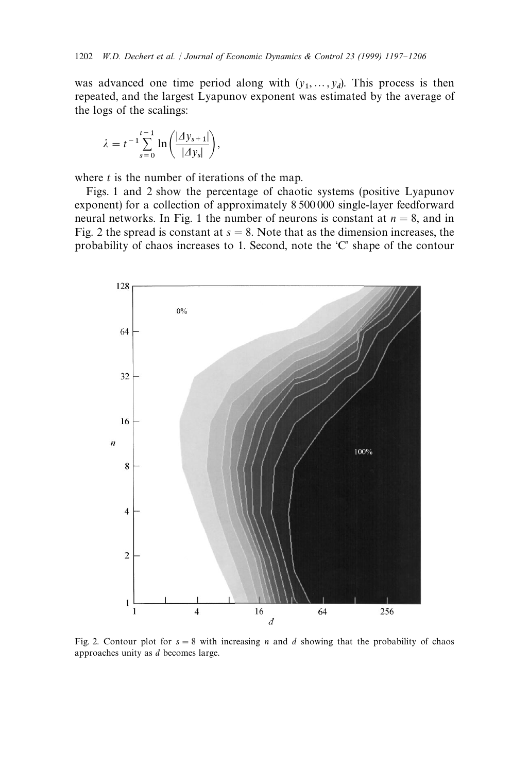was advanced one time period along with  $(y_1, \ldots, y_d)$ . This process is then was advanced one time period along with  $(y_1, \ldots, y_d)$ . This process is then repeated, and the largest Lyapunov exponent was estimated by the average of the logs of the scalings:

$$
\lambda = t^{-1} \sum_{s=0}^{t-1} \ln \left( \frac{|dy_{s+1}|}{|dy_s|} \right),
$$

where *t* is the number of iterations of the map.

Figs. 1 and 2 show the percentage of chaotic systems (positive Lyapunov exponent) for a collection of approximately 8 500 000 single-layer feedforward neural networks. In Fig. 1 the number of neurons is constant at  $n = 8$ , and in Fig. 2 the spread is constant at  $s = 8$ . Note that as the dimension increases, the probability of chaos increases to 1. Second, note the 'C' shape of the contour



Fig. 2. Contour plot for  $s = 8$  with increasing *n* and *d* showing that the probability of chaos approaches unity as *d* becomes large.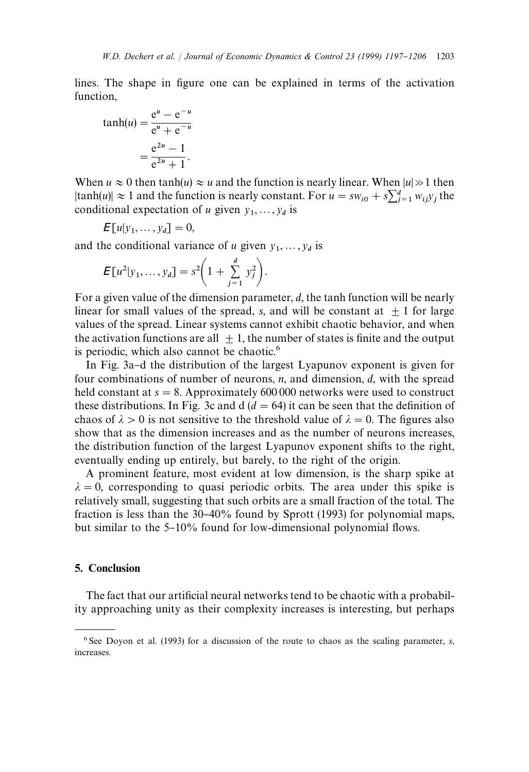lines. The shape in figure one can be explained in terms of the activation function,

$$
\tanh(u) = \frac{e^u - e^{-u}}{e^u + e^{-u}}
$$

$$
= \frac{e^{2u} - 1}{e^{2u} + 1}.
$$

When  $u \approx 0$  then tanh(*u*)  $\approx u$  and the function is nearly linear. When  $|u| \gg 1$  then  $|\tanh(u)| \approx 1$  and the function is nearly constant. For  $u = sw_{i0} + s\sum_{j=1}^{d} w_{ij}y_j$  the conditional expectation of *u* given  $y_1, \ldots, y_d$  is

$$
\mathsf{E}[u|y_1,\ldots,y_d]=0,
$$

and the conditional variance of *u* given  $y_1, \ldots, y_d$  is

$$
E[u^{2}|y_{1},...,y_{d}] = s^{2}\left(1+\sum_{j=1}^{d} y_{j}^{2}\right).
$$

For a given value of the dimension parameter, *d*, the tanh function will be nearly linear for small values of the spread, *s*, and will be constant at  $+1$  for large values of the spread. Linear systems cannot exhibit chaotic behavior, and when the activation functions are all  $+1$ , the number of states is finite and the output is periodic, which also cannot be chaotic.<sup>6</sup>

In Fig. 3a-d the distribution of the largest Lyapunov exponent is given for four combinations of number of neurons, *n*, and dimension, *d*, with the spread held constant at  $s = 8$ . Approximately 600 000 networks were used to construct these distributions. In Fig. 3c and  $d$  ( $d = 64$ ) it can be seen that the definition of chaos of  $\lambda > 0$  is not sensitive to the threshold value of  $\lambda = 0$ . The figures also show that as the dimension increases and as the number of neurons increases, the distribution function of the largest Lyapunov exponent shifts to the right, eventually ending up entirely, but barely, to the right of the origin.

A prominent feature, most evident at low dimension, is the sharp spike at  $\lambda = 0$ , corresponding to quasi periodic orbits. The area under this spike is relatively small, suggesting that such orbits are a small fraction of the total. The fraction is less than the 30-40% found by Sprott (1993) for polynomial maps, but similar to the  $5-10\%$  found for low-dimensional polynomial flows.

### 5. Conclusion

The fact that our artificial neural networks tend to be chaotic with a probability approaching unity as their complexity increases is interesting, but perhaps

<sup>6</sup> See Doyon et al. (1993) for a discussion of the route to chaos as the scaling parameter, *s*, increases.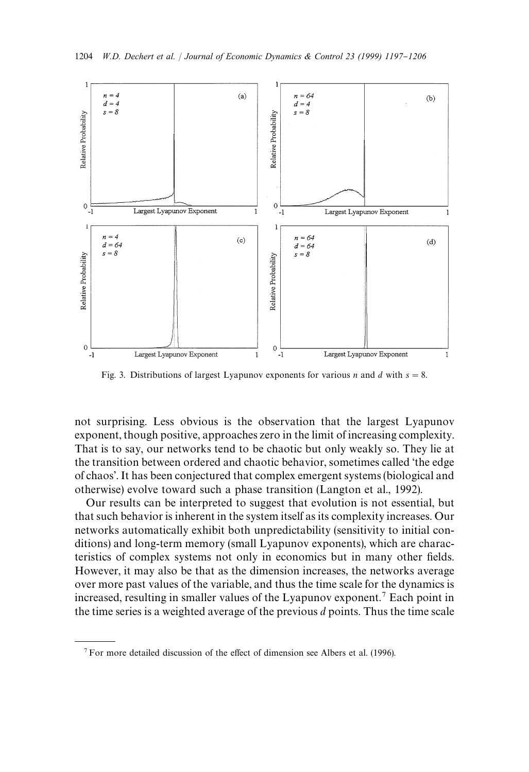

Fig. 3. Distributions of largest Lyapunov exponents for various *n* and *d* with  $s = 8$ .

not surprising. Less obvious is the observation that the largest Lyapunov exponent, though positive, approaches zero in the limit of increasing complexity. That is to say, our networks tend to be chaotic but only weakly so. They lie at the transition between ordered and chaotic behavior, sometimes called 'the edge of chaos'. It has been conjectured that complex emergent systems (biological and otherwise) evolve toward such a phase transition (Langton et al., 1992).

Our results can be interpreted to suggest that evolution is not essential, but that such behavior is inherent in the system itself as its complexity increases. Our networks automatically exhibit both unpredictability (sensitivity to initial conditions) and long-term memory (small Lyapunov exponents), which are characteristics of complex systems not only in economics but in many other fields. However, it may also be that as the dimension increases, the networks average over more past values of the variable, and thus the time scale for the dynamics is increased, resulting in smaller values of the Lyapunov exponent.<sup>7</sup> Each point in the time series is a weighted average of the previous *d* points. Thus the time scale

 $7$  For more detailed discussion of the effect of dimension see Albers et al. (1996).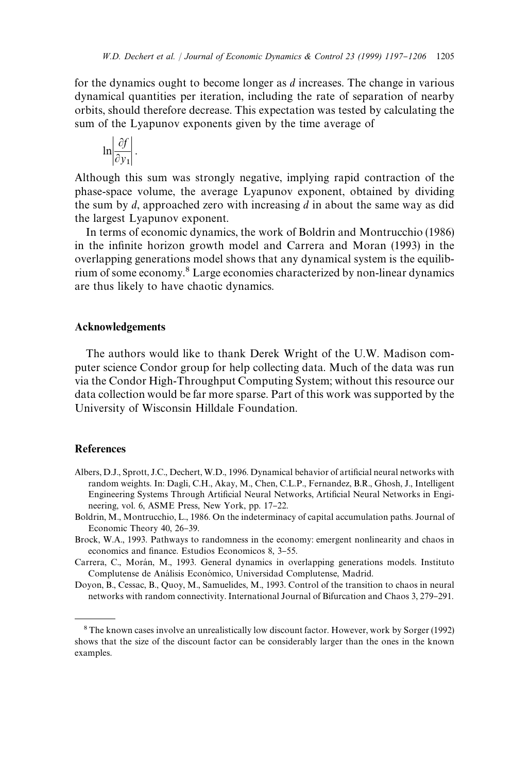for the dynamics ought to become longer as *d* increases. The change in various dynamical quantities per iteration, including the rate of separation of nearby orbits, should therefore decrease. This expectation was tested by calculating the sum of the Lyapunov exponents given by the time average of

$$
\ln\left|\frac{\partial f}{\partial y_1}\right|.
$$

Although this sum was strongly negative, implying rapid contraction of the phase-space volume, the average Lyapunov exponent, obtained by dividing the sum by *d*, approached zero with increasing *d* in about the same way as did the largest Lyapunov exponent.

In terms of economic dynamics, the work of Boldrin and Montrucchio (1986) in the infinite horizon growth model and Carrera and Moran (1993) in the overlapping generations model shows that any dynamical system is the equilibrium of some economy.8 Large economies characterized by non-linear dynamics are thus likely to have chaotic dynamics.

#### Acknowledgements

The authors would like to thank Derek Wright of the U.W. Madison computer science Condor group for help collecting data. Much of the data was run via the Condor High-Throughput Computing System; without this resource our data collection would be far more sparse. Part of this work was supported by the University of Wisconsin Hilldale Foundation.

## References

- Albers, D.J., Sprott, J.C., Dechert, W.D., 1996. Dynamical behavior of artificial neural networks with random weights. In: Dagli, C.H., Akay, M., Chen, C.L.P., Fernandez, B.R., Ghosh, J., Intelligent Engineering Systems Through Artificial Neural Networks, Artificial Neural Networks in Engineering, vol. 6, ASME Press, New York, pp. 17-22.
- Boldrin, M., Montrucchio, L., 1986. On the indeterminacy of capital accumulation paths. Journal of Economic Theory 40, 26-39.
- Brock, W.A., 1993. Pathways to randomness in the economy: emergent nonlinearity and chaos in economics and finance. Estudios Economicos 8, 3-55.
- Carrera, C., Morán, M., 1993. General dynamics in overlapping generations models. Instituto Complutense de Análisis Económico, Universidad Complutense, Madrid.
- Doyon, B., Cessac, B., Quoy, M., Samuelides, M., 1993. Control of the transition to chaos in neural networks with random connectivity. International Journal of Bifurcation and Chaos 3, 279-291.

<sup>8</sup>The known cases involve an unrealistically low discount factor. However, work by Sorger (1992) shows that the size of the discount factor can be considerably larger than the ones in the known examples.